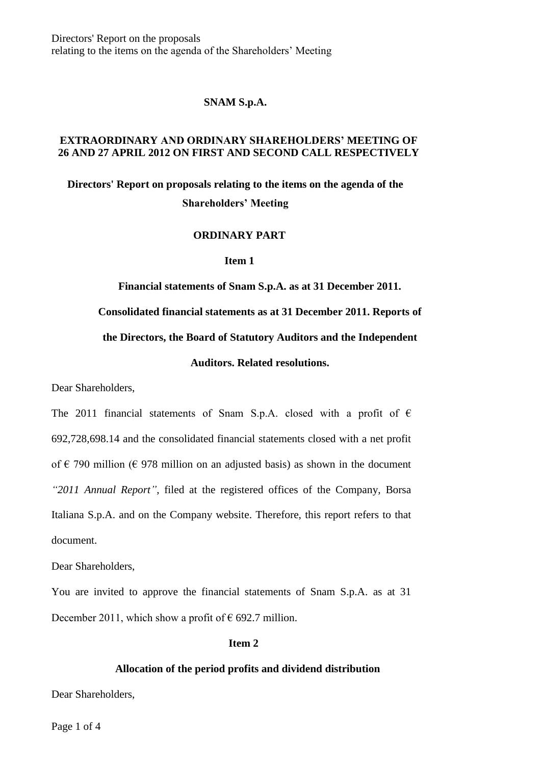Directors' Report on the proposals relating to the items on the agenda of the Shareholders' Meeting

### **SNAM S.p.A.**

# **EXTRAORDINARY AND ORDINARY SHAREHOLDERS' MEETING OF 26 AND 27 APRIL 2012 ON FIRST AND SECOND CALL RESPECTIVELY**

# **Directors' Report on proposals relating to the items on the agenda of the Shareholders' Meeting**

#### **ORDINARY PART**

#### **Item 1**

**Financial statements of Snam S.p.A. as at 31 December 2011. Consolidated financial statements as at 31 December 2011. Reports of the Directors, the Board of Statutory Auditors and the Independent Auditors. Related resolutions.**

Dear Shareholders,

The 2011 financial statements of Snam S.p.A. closed with a profit of  $\epsilon$ 692,728,698.14 and the consolidated financial statements closed with a net profit of  $\epsilon$  790 million ( $\epsilon$  978 million on an adjusted basis) as shown in the document *"2011 Annual Report"*, filed at the registered offices of the Company, Borsa Italiana S.p.A. and on the Company website. Therefore, this report refers to that document.

Dear Shareholders,

You are invited to approve the financial statements of Snam S.p.A. as at 31 December 2011, which show a profit of  $\epsilon$  692.7 million.

# **Item 2**

#### **Allocation of the period profits and dividend distribution**

Dear Shareholders,

Page 1 of 4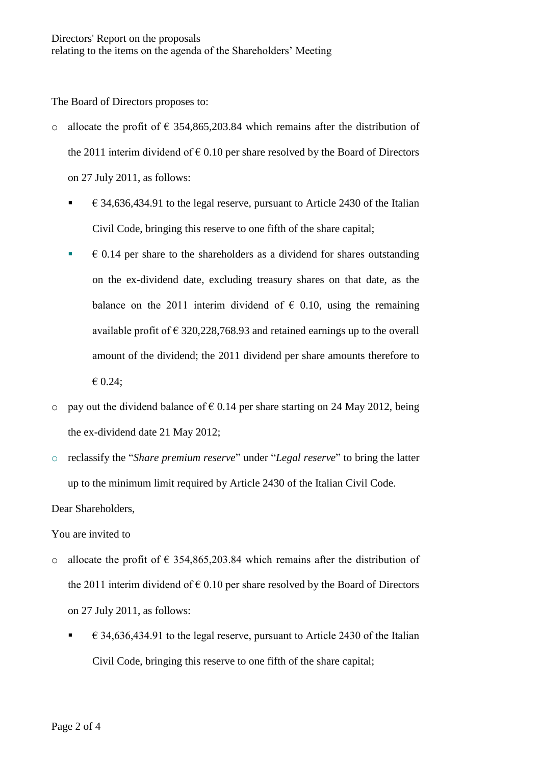The Board of Directors proposes to:

- o allocate the profit of  $\epsilon$  354,865,203.84 which remains after the distribution of the 2011 interim dividend of  $\epsilon$  0.10 per share resolved by the Board of Directors on 27 July 2011, as follows:
	- $\epsilon$  34,636,434.91 to the legal reserve, pursuant to Article 2430 of the Italian Civil Code, bringing this reserve to one fifth of the share capital;
	- $\bullet$   $\bullet$  0.14 per share to the shareholders as a dividend for shares outstanding on the ex-dividend date, excluding treasury shares on that date, as the balance on the 2011 interim dividend of  $\epsilon$  0.10, using the remaining available profit of  $\epsilon$  320,228,768.93 and retained earnings up to the overall amount of the dividend; the 2011 dividend per share amounts therefore to € 0.24;
- o pay out the dividend balance of  $\epsilon$  0.14 per share starting on 24 May 2012, being the ex-dividend date 21 May 2012;
- o reclassify the "*Share premium reserve*" under "*Legal reserve*" to bring the latter up to the minimum limit required by Article 2430 of the Italian Civil Code.

Dear Shareholders,

You are invited to

- o allocate the profit of  $\epsilon$  354,865,203.84 which remains after the distribution of the 2011 interim dividend of  $\epsilon$  0.10 per share resolved by the Board of Directors on 27 July 2011, as follows:
	- $\epsilon$  34,636,434.91 to the legal reserve, pursuant to Article 2430 of the Italian Civil Code, bringing this reserve to one fifth of the share capital;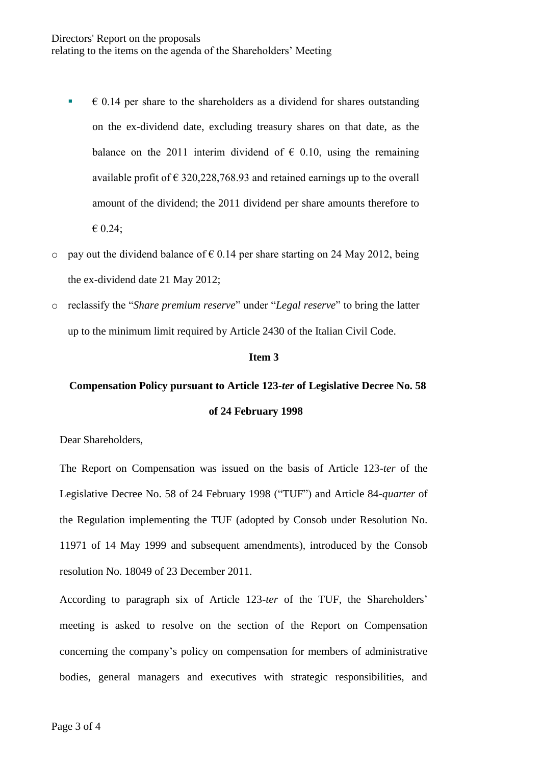- $\bullet$   $\bullet$  0.14 per share to the shareholders as a dividend for shares outstanding on the ex-dividend date, excluding treasury shares on that date, as the balance on the 2011 interim dividend of  $\epsilon$  0.10, using the remaining available profit of  $\epsilon$  320, 228, 768.93 and retained earnings up to the overall amount of the dividend; the 2011 dividend per share amounts therefore to € 0.24;
- o pay out the dividend balance of  $\epsilon$  0.14 per share starting on 24 May 2012, being the ex-dividend date 21 May 2012;
- o reclassify the "*Share premium reserve*" under "*Legal reserve*" to bring the latter up to the minimum limit required by Article 2430 of the Italian Civil Code.

# **Item 3**

# **Compensation Policy pursuant to Article 123-***ter* **of Legislative Decree No. 58 of 24 February 1998**

Dear Shareholders,

The Report on Compensation was issued on the basis of Article 123-*ter* of the Legislative Decree No. 58 of 24 February 1998 ("TUF") and Article 84-*quarter* of the Regulation implementing the TUF (adopted by Consob under Resolution No. 11971 of 14 May 1999 and subsequent amendments), introduced by the Consob resolution No. 18049 of 23 December 2011.

According to paragraph six of Article 123-*ter* of the TUF, the Shareholders' meeting is asked to resolve on the section of the Report on Compensation concerning the company's policy on compensation for members of administrative bodies, general managers and executives with strategic responsibilities, and